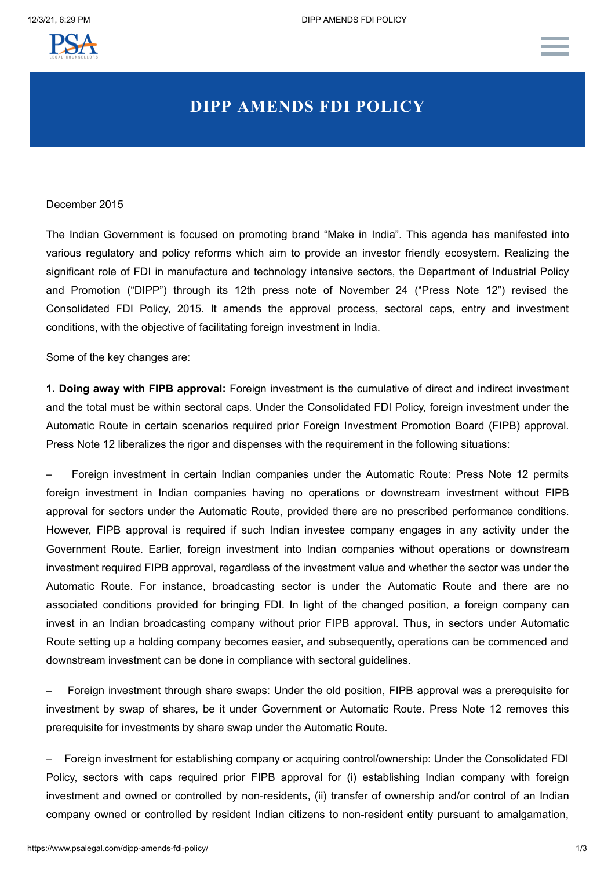

# **DIPP AMENDS FDI POLICY**

## December 2015

The Indian Government is focused on promoting brand "Make in India". This agenda has manifested into various regulatory and policy reforms which aim to provide an investor friendly ecosystem. Realizing the significant role of FDI in manufacture and technology intensive sectors, the Department of Industrial Policy and Promotion ("DIPP") through its 12th press note of November 24 ("Press Note 12") revised the Consolidated FDI Policy, 2015. It amends the approval process, sectoral caps, entry and investment conditions, with the objective of facilitating foreign investment in India.

Some of the key changes are:

**1. Doing away with FIPB approval:** Foreign investment is the cumulative of direct and indirect investment and the total must be within sectoral caps. Under the Consolidated FDI Policy, foreign investment under the Automatic Route in certain scenarios required prior Foreign Investment Promotion Board (FIPB) approval. Press Note 12 liberalizes the rigor and dispenses with the requirement in the following situations:

– Foreign investment in certain Indian companies under the Automatic Route: Press Note 12 permits foreign investment in Indian companies having no operations or downstream investment without FIPB approval for sectors under the Automatic Route, provided there are no prescribed performance conditions. However, FIPB approval is required if such Indian investee company engages in any activity under the Government Route. Earlier, foreign investment into Indian companies without operations or downstream investment required FIPB approval, regardless of the investment value and whether the sector was under the Automatic Route. For instance, broadcasting sector is under the Automatic Route and there are no associated conditions provided for bringing FDI. In light of the changed position, a foreign company can invest in an Indian broadcasting company without prior FIPB approval. Thus, in sectors under Automatic Route setting up a holding company becomes easier, and subsequently, operations can be commenced and downstream investment can be done in compliance with sectoral guidelines.

– Foreign investment through share swaps: Under the old position, FIPB approval was a prerequisite for investment by swap of shares, be it under Government or Automatic Route. Press Note 12 removes this prerequisite for investments by share swap under the Automatic Route.

– Foreign investment for establishing company or acquiring control/ownership: Under the Consolidated FDI Policy, sectors with caps required prior FIPB approval for (i) establishing Indian company with foreign investment and owned or controlled by non-residents, (ii) transfer of ownership and/or control of an Indian company owned or controlled by resident Indian citizens to non-resident entity pursuant to amalgamation,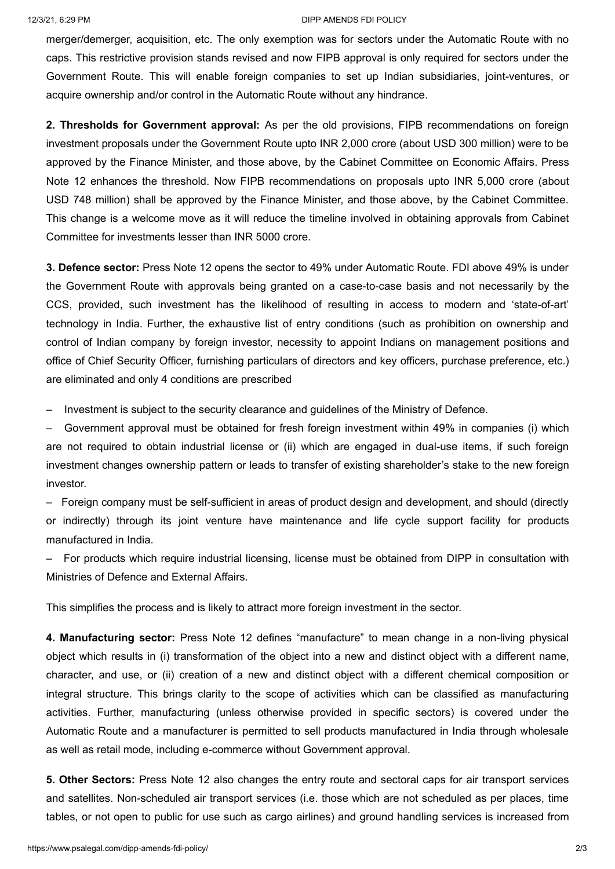#### 12/3/21, 6:29 PM DIPP AMENDS FDI POLICY

merger/demerger, acquisition, etc. The only exemption was for sectors under the Automatic Route with no caps. This restrictive provision stands revised and now FIPB approval is only required for sectors under the Government Route. This will enable foreign companies to set up Indian subsidiaries, joint-ventures, or acquire ownership and/or control in the Automatic Route without any hindrance.

**2. Thresholds for Government approval:** As per the old provisions, FIPB recommendations on foreign investment proposals under the Government Route upto INR 2,000 crore (about USD 300 million) were to be approved by the Finance Minister, and those above, by the Cabinet Committee on Economic Affairs. Press Note 12 enhances the threshold. Now FIPB recommendations on proposals upto INR 5,000 crore (about USD 748 million) shall be approved by the Finance Minister, and those above, by the Cabinet Committee. This change is a welcome move as it will reduce the timeline involved in obtaining approvals from Cabinet Committee for investments lesser than INR 5000 crore.

**3. Defence sector:** Press Note 12 opens the sector to 49% under Automatic Route. FDI above 49% is under the Government Route with approvals being granted on a case-to-case basis and not necessarily by the CCS, provided, such investment has the likelihood of resulting in access to modern and 'state-of-art' technology in India. Further, the exhaustive list of entry conditions (such as prohibition on ownership and control of Indian company by foreign investor, necessity to appoint Indians on management positions and office of Chief Security Officer, furnishing particulars of directors and key officers, purchase preference, etc.) are eliminated and only 4 conditions are prescribed

– Investment is subject to the security clearance and guidelines of the Ministry of Defence.

– Government approval must be obtained for fresh foreign investment within 49% in companies (i) which are not required to obtain industrial license or (ii) which are engaged in dual-use items, if such foreign investment changes ownership pattern or leads to transfer of existing shareholder's stake to the new foreign investor.

– Foreign company must be self-sufficient in areas of product design and development, and should (directly or indirectly) through its joint venture have maintenance and life cycle support facility for products manufactured in India.

– For products which require industrial licensing, license must be obtained from DIPP in consultation with Ministries of Defence and External Affairs.

This simplifies the process and is likely to attract more foreign investment in the sector.

**4. Manufacturing sector:** Press Note 12 defines "manufacture" to mean change in a non-living physical object which results in (i) transformation of the object into a new and distinct object with a different name, character, and use, or (ii) creation of a new and distinct object with a different chemical composition or integral structure. This brings clarity to the scope of activities which can be classified as manufacturing activities. Further, manufacturing (unless otherwise provided in specific sectors) is covered under the Automatic Route and a manufacturer is permitted to sell products manufactured in India through wholesale as well as retail mode, including e-commerce without Government approval.

**5. Other Sectors:** Press Note 12 also changes the entry route and sectoral caps for air transport services and satellites. Non-scheduled air transport services (i.e. those which are not scheduled as per places, time tables, or not open to public for use such as cargo airlines) and ground handling services is increased from